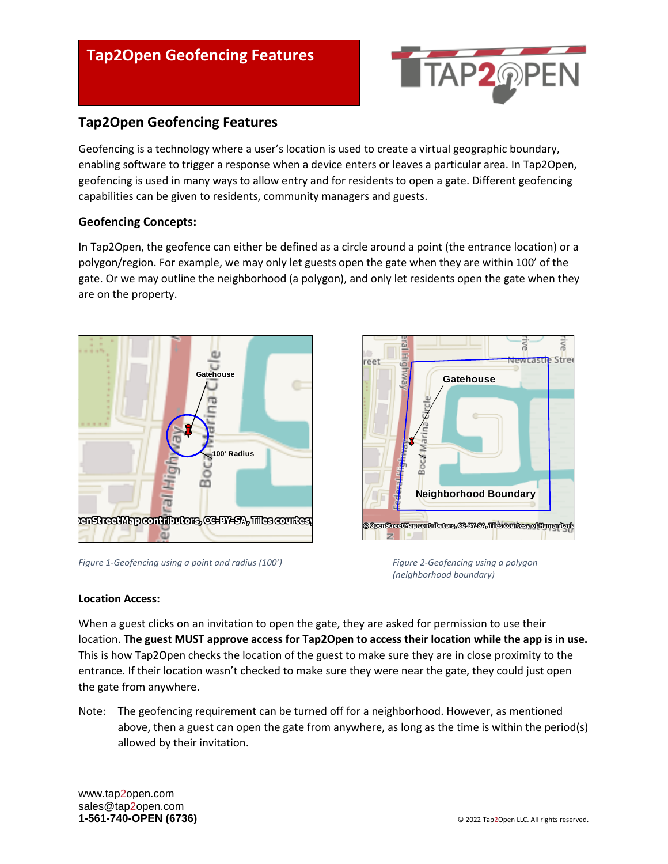# **Tap2Open Geofencing Features**

# **Tap2Open Geofencing Features**

Geofencing is a technology where a user's location is used to create a virtual geographic boundary, enabling software to trigger a response when a device enters or leaves a particular area. In Tap2Open, geofencing is used in many ways to allow entry and for residents to open a gate. Different geofencing capabilities can be given to residents, community managers and guests.

#### **Geofencing Concepts:**

In Tap2Open, the geofence can either be defined as a circle around a point (the entrance location) or a polygon/region. For example, we may only let guests open the gate when they are within 100' of the gate. Or we may outline the neighborhood (a polygon), and only let residents open the gate when they are on the property.



*Figure 1-Geofencing using a point and radius (100') Figure 2-Geofencing using a polygon* 



**TAP2**@F

*(neighborhood boundary)*

#### **Location Access:**

When a guest clicks on an invitation to open the gate, they are asked for permission to use their location. **The guest MUST approve access for Tap2Open to access their location while the app is in use.** This is how Tap2Open checks the location of the guest to make sure they are in close proximity to the entrance. If their location wasn't checked to make sure they were near the gate, they could just open the gate from anywhere.

Note: The geofencing requirement can be turned off for a neighborhood. However, as mentioned above, then a guest can open the gate from anywhere, as long as the time is within the period(s) allowed by their invitation.

www.tap2open.com sales@tap2open.com **1-561-740-OPEN (6736) CONSUMER (6736) CONSUMER (6736) CONSUMER (6736) CONSUMER (6736) CONSUMER (6736) CONSUMER (6736) CONSUMER (6736) CONSUMER (6736) CONSUMER (6736) CONSUMER (6736) CONSUMER (6736)**